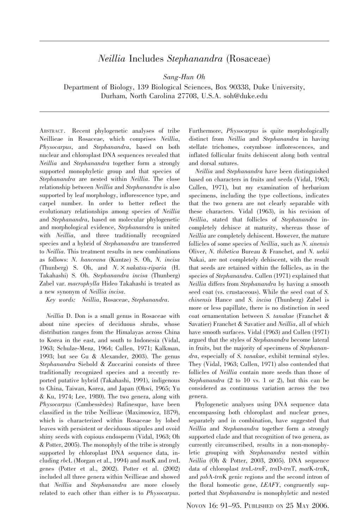## Neillia Includes Stephanandra (Rosaceae)

Sang-Hun Oh

Department of Biology, 139 Biological Sciences, Box 90338, Duke University, Durham, North Carolina 27708, U.S.A. soh@duke.edu

ABSTRACT . Recent phylogenetic analyses of tribe Neillieae in Rosaceae, which comprises Neillia, Physocarpus, and Stephanandra, based on both nuclear and chloroplast DNA sequences revealed that Neillia and Stephanandra together form a strongly supported monophyletic group and that species of Stephanandra are nested within Neillia. The close relationship between Neillia and Stephanandra is also supported by leaf morphology, inflorescence type, and carpel number. In order to better reflect the evolutionary relationships among species of Neillia and Stephanandra, based on molecular phylogenetic and morphological evidence, Stephanandra is united with *Neillia*, and three traditionally recognized species and a hybrid of Stephanandra are transferred to Neillia. This treatment results in new combinations as follows: N. hanceana (Kuntze) S. Oh, N. incisa (Thunberg) S. Oh, and  $N. \times$ nakatsu-riparia (H. Takahashi) S. Oh. Stephanandra incisa (Thunberg) Zabel var. macrophylla Hideo Takahashi is treated as a new synonym of Neillia incisa.

Key words: Neillia, Rosaceae, Stephanandra.

Neillia D. Don is a small genus in Rosaceae with about nine species of deciduous shrubs, whose distribution ranges from the Himalayas across China to Korea in the east, and south to Indonesia (Vidal, 1963; Schulze-Menz, 1964; Cullen, 1971; Kalkman, 1993; but see Gu & Alexander, 2003). The genus Stephanandra Siebold & Zuccarini consists of three traditionally recognized species and a recently reported putative hybrid (Takahashi, 1991), indigenous to China, Taiwan, Korea, and Japan (Ohwi, 1965; Yu & Ku, 1974; Lee, 1980). The two genera, along with Physocarpus (Cambessèdes) Rafinesque, have been classified in the tribe Neillieae (Maximowicz, 1879), which is characterized within Rosaceae by lobed leaves with persistent or deciduous stipules and ovoid shiny seeds with copious endosperm (Vidal, 1963; Oh & Potter, 2005). The monophyly of the tribe is strongly supported by chloroplast DNA sequence data, including rbcL (Morgan et al., 1994) and matK and trnL genes (Potter et al., 2002). Potter et al. (2002) included all three genera within Neillieae and showed that Neillia and Stephanandra are more closely related to each other than either is to Physocarpus.

Furthermore, Physocarpus is quite morphologically distinct from *Neillia* and *Stephanandra* in having stellate trichomes, corymbose inflorescences, and inflated follicular fruits dehiscent along both ventral and dorsal sutures.

Neillia and Stephanandra have been distinguished based on characters in fruits and seeds (Vidal, 1963; Cullen, 1971), but my examination of herbarium specimens, including the type collections, indicates that the two genera are not clearly separable with these characters. Vidal (1963), in his revision of Neillia, stated that follicles of Stephanandra incompletely dehisce at maturity, whereas those of Neillia are completely dehiscent. However, the mature follicles of some species of *Neillia*, such as N. sinensis Oliver, N. thibetica Bureau & Franchet, and N. uekii Nakai, are not completely dehiscent, with the result that seeds are retained within the follicles, as in the species of Stephanandra. Cullen (1971) explained that Neillia differs from Stephanandra by having a smooth seed coat (vs. crustaceous). While the seed coat of S. chinensis Hance and S. incisa (Thunberg) Zabel is more or less papillate, there is no distinction in seed coat ornamentation between S. tanakae (Franchet & Savatier) Franchet & Savatier and *Neillia*, all of which have smooth surfaces. Vidal (1963) and Cullen (1971) argued that the styles of Stephanandra become lateral in fruits, but the majority of specimens of Stephanandra, especially of S. tanakae, exhibit terminal styles. They (Vidal, 1963; Cullen, 1971) also contended that follicles of Neillia contain more seeds than those of Stephanandra  $(2 \text{ to } 10 \text{ vs. } 1 \text{ or } 2)$ , but this can be considered as continuous variation across the two genera.

Phylogenetic analyses using DNA sequence data encompassing both chloroplast and nuclear genes, separately and in combination, have suggested that Neillia and Stephanandra together form a strongly supported clade and that recognition of two genera, as currently circumscribed, results in a non-monophyletic grouping with Stephanandra nested within Neillia (Oh & Potter, 2003, 2005). DNA sequence data of chloroplast trnL-trnF, trnD-trnT, matK-trnK, and psbA-trnK genic regions and the second intron of the floral homeotic gene, LEAFY, congruently supported that Stephanandra is monophyletic and nested

NOVON 16: 91–95. PUBLISHED ON 25 MAY 2006.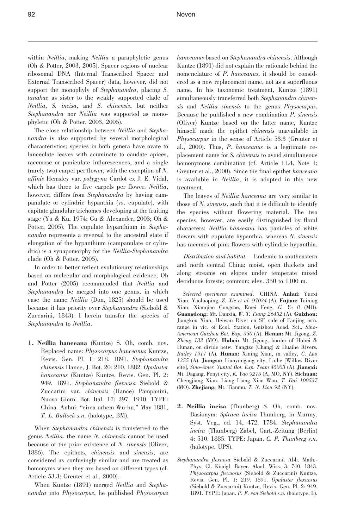within Neillia, making Neillia a paraphyletic genus (Oh & Potter, 2003, 2005). Spacer regions of nuclear ribosomal DNA (Internal Transcribed Spacer and External Transcribed Spacer) data, however, did not support the monophyly of *Stephanandra*, placing *S*. tanakae as sister to the weakly supported clade of Neillia, S. incisa, and S. chinensis, but neither Stephanandra nor Neillia was supported as monophyletic (Oh & Potter, 2003, 2005).

The close relationship between Neillia and Stephanandra is also supported by several morphological characteristics; species in both genera have ovate to lanceolate leaves with acuminate to caudate apices, racemose or paniculate inflorescences, and a single (rarely two) carpel per flower, with the exception of N. affinis Hemsley var. polygyna Cardot ex J. E. Vidal, which has three to five carpels per flower. Neillia, however, differs from Stephanandra by having campanulate or cylindric hypanthia (vs. cupulate), with capitate glandular trichomes developing at the fruiting stage (Yu & Ku, 1974; Gu & Alexander, 2003; Oh & Potter, 2005). The cupulate hypanthium in Stephanandra represents a reversal to the ancestral state if elongation of the hypanthium (campanulate or cylindric) is a synapomorphy for the *Neillia-Stephanandra* clade (Oh & Potter, 2005).

In order to better reflect evolutionary relationships based on molecular and morphological evidence, Oh and Potter (2005) recommended that Neillia and Stephanandra be merged into one genus, in which case the name Neillia (Don, 1825) should be used because it has priority over Stephanandra (Siebold & Zuccarini, 1843). I herein transfer the species of Stephanandra to Neillia.

1. Neillia hanceana (Kuntze) S. Oh, comb. nov. Replaced name: Physocarpus hanceanus Kuntze, Revis. Gen. Pl. 1: 218. 1891. Stephanandra chinensis Hance, J. Bot. 20: 210. 1882. Opulaster hanceanus (Kuntze) Kuntze, Revis. Gen. Pl. 2: 949. 1891. Stephanandra flexuosa Siebold & Zuccarini var. chinensis (Hance) Pampanini, Nuovo Giorn. Bot. Ital. 17: 297. 1910. TYPE: China. Anhui: ''circa urbem Wu-hu,'' May 1881, T. L. Bullock s.n. (holotype, BM).

When Stephanandra chinensis is transferred to the genus Neillia, the name N. chinensis cannot be used because of the prior existence of N. sinensis (Oliver, 1886). The epithets, chinensis and sinensis, are considered as confusingly similar and are treated as homonyms when they are based on different types (cf. Article 53.3; Greuter et al., 2000).

When Kuntze (1891) merged Neillia and Stephanandra into Physocarpus, he published Physocarpus hanceanus based on Stephanandra chinensis. Although Kuntze (1891) did not explain the rationale behind the nomenclature of P. hanceanus, it should be considered as a new replacement name, not as a superfluous name. In his taxonomic treatment, Kuntze (1891) simultaneously transferred both Stephanandra chinensis and Neillia sinensis to the genus Physocarpus. Because he published a new combination P. sinensis (Oliver) Kuntze based on the latter name, Kuntze himself made the epithet chinensis unavailable in Physocarpus in the sense of Article 53.3 (Greuter et al., 2000). Thus, P. hanceanus is a legitimate replacement name for S. chinensis to avoid simultaneous homonymous combination (cf. Article 11.4, Note 1; Greuter et al., 2000). Since the final epithet hanceana is available in *Neillia*, it is adopted in this new treatment.

The leaves of Neillia hanceana are very similar to those of N. sinensis, such that it is difficult to identify the species without flowering material. The two species, however, are easily distinguished by floral characters: Neillia hanceana has panicles of white flowers with cupulate hypanthia, whereas N. sinensis has racemes of pink flowers with cylindric hypanthia.

Distribution and habitat. Endemic to southeastern and north central China; moist, open thickets and along streams on slopes under temperate mixed deciduous forests; common; elev. 350 to 1100 m.

Selected specimens examined. CHINA. Anhui: Yuexi Xian, Yaoluoping, Z. Xie et al. 97034 (A). Fujian: Taining Xian, Xianqiao Gongshe, Emei Feng, G. Ye 8 (MO). Guangdong: Mt. Danxia, W. T. Tsang 26432 (A). Guizhou: Jiangkou Xian, Heiwan River on SE side of Fanjing mtn. range in vic. of Ecol. Station, Guizhou Acad. Sci., Sino-American Guizhou Bot. Exp. 350 (A). Henan: Mt. Jigong, Z. Zheng  $132$  (MO). **Hubei:** Mt. Jigong, border of Hubei & Hunan, on divide betw. Yangtze (Chang) & Huaihe Rivers, Bailey 1917 (A). Hunan: Xining Xian, in valley, C. Luo 1355 (A). Jiangsu: Lianyungang city, Liuhe [Willow River site], Sino-Amer. Yuntai Bot. Exp. Team 45003 (A). Jiangxi: Mt. Dagang, Fenyi city, K. Yao 9275 (A, MO, NY). Sichuan: Chengjiang Xian, Liang Liang Xiao Wan, T. Dai 100537 (MO). Zhejiang: Mt. Tianmu, T. N. Liou 92 (NY).

- 2. Neillia incisa (Thunberg) S. Oh, comb. nov. Basionym: Spiraea incisa Thunberg, in Murray, Syst. Veg., ed. 14, 472. 1784. Stephanandra incisa (Thunberg) Zabel, Gart.-Zeitung (Berlin) 4: 510. 1885. TYPE: Japan. C. P. Thunberg s.n. (holotype, UPS).
- Stephanandra flexuosa Siebold & Zuccarini, Abh. Math.- Phys. Cl. Königl. Bayer. Akad. Wiss. 3: 740. 1843. Physocarpus flexuosus (Siebold & Zuccarini) Kuntze, Revis. Gen. Pl. 1: 219. 1891. Opulaster flexuosus (Siebold & Zuccarini) Kuntze, Revis. Gen. Pl. 2: 949. 1891. TYPE: Japan. P. F. von Siebold s.n. (holotype, L).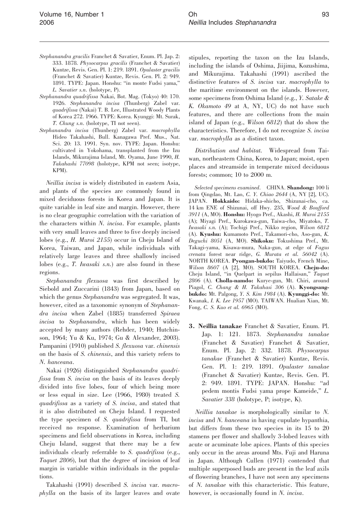- Stephanandra gracilis Franchet & Savatier, Enum. Pl. Jap. 2: 333. 1878. Physocarpus gracilis (Franchet & Savatier) Kuntze, Revis. Gen. Pl. 1: 219. 1891. Opulaster gracilis (Franchet & Savatier) Kuntze, Revis. Gen. Pl. 2: 949. 1891. TYPE: Japan. Honshu: ''in monte Fudsi yama,'' L. Savatier s.n. (holotype, P).
- Stephanandra quadrifissa Nakai, Bot. Mag. (Tokyo) 40: 170. 1926. Stephanandra incisa (Thunberg) Zabel var. quadrifissa (Nakai) T. B. Lee, Illustrated Woody Plants of Korea 272. 1966. TYPE: Korea. Kyunggi: Mt. Surak, T. Chung s.n. (holotype, TI not seen).
- Stephanandra incisa (Thunberg) Zabel var. macrophylla Hideo Takahashi, Bull. Kanagawa Pref. Mus., Nat. Sci. 20: 13. 1991. Syn. nov. TYPE: Japan. Honshu: cultivated in Yokohama, transplanted from the Izu Islands, Mikurajima Island, Mt. Oyama, June 1990, H. Takahashi 77098 (holotype, KPM not seen; isotype, KPM).

Neillia incisa is widely distributed in eastern Asia, and plants of the species are commonly found in mixed deciduous forests in Korea and Japan. It is quite variable in leaf size and margin. However, there is no clear geographic correlation with the variation of the characters within N. incisa. For example, plants with very small leaves and three to five deeply incised lobes (e.g., H. Muroi 2155) occur in Cheju Island of Korea, Taiwan, and Japan, while individuals with relatively large leaves and three shallowly incised lobes (e.g., T. Iwasaki s.n.) are also found in these regions.

Stephanandra flexuosa was first described by Siebold and Zuccarini (1843) from Japan, based on which the genus *Stephanandra* was segregated. It was, however, cited as a taxonomic synonym of Stephanandra incisa when Zabel (1885) transferred Spiraea incisa to Stephanandra, which has been widely accepted by many authors (Rehder, 1940; Hutchinson, 1964; Yu & Ku, 1974; Gu & Alexander, 2003). Pampanini (1910) published S. flexuosa var. chinensis on the basis of S. chinensis, and this variety refers to N. hanceana.

Nakai (1926) distinguished Stephanandra quadrifissa from S. incisa on the basis of its leaves deeply divided into five lobes, four of which being more or less equal in size. Lee (1966, 1980) treated S. quadrifissa as a variety of S. incisa, and stated that it is also distributed on Cheju Island. I requested the type specimen of S. quadrifissa from TI, but received no response. Examination of herbarium specimens and field observations in Korea, including Cheju Island, suggest that there may be a few individuals clearly referrable to S. quadrifissa (e.g., Taquet 2806), but that the degree of incision of leaf margin is variable within individuals in the populations.

Takahashi (1991) described S. incisa var. macrophylla on the basis of its larger leaves and ovate stipules, reporting the taxon on the Izu Islands, including the islands of Oshima, Jiijima, Kozushima, and Mikurajima. Takahashi (1991) ascribed the distinctive features of S. incisa var. macrophylla to the maritime environment on the islands. However, some specimens from Oshima Island (e.g., Y. Satake & K. Okamoto 49 at A, NY, UC) do not have such features, and there are collections from the main island of Japan (e.g., Wilson 6812) that do show the characteristics. Therefore, I do not recognize S. incisa var. macrophylla as a distinct taxon.

Distribution and habitat. Widespread from Taiwan, northeastern China, Korea, to Japan; moist, open places and streamside in temperate mixed deciduous forests; common; 10 to 2000 m.

Selected specimens examined. CHINA. Shandong: 100 li from Qingdao, Mt. Lao, C. Y. Chiao 2644 (A, NY [2], UC). JAPAN. Hokkaido: Hidaka-shicho, Shizunai-cho, ca. 14 km ENE of Shizunai, off Hwy. 235, Wood & Boufford 3911 (A, MO). Honshu: Hyogo Pref., Akashi, H. Muroi 2155 (A); Miyagi Pref., Kurokawa-gun, Taiwa-cho, Miyatoko, T. Iwasaki s.n. (A); Tochigi Pref., Nikko region, Wilson 6812 (A). Kyushu: Kumamoto Pref., Takamori-cho, Aso-gun, K. Deguchi 8051 (A, MO). Shikoku: Tokushima Pref., Mt. Takagi-yama, Kisawa-mura, Naka-gun, at edge of Fagus crenata forest near ridge, G. Murata et al. 56042 (A). NORTH KOREA. Pyongan-bukdo: Taiyudo, French Mine, Wilson 8607 (A [2], MO). SOUTH KOREA. Cheju-do: Cheju Island, ''in Quelpart in sepilus Hallaisan,'' Taquet 2806 (A). Cholla-namdo: Kurye-gun, Mt. Chiri, around Piagol, C. Chang & H. Takahasi 306 (A). Kyongsangbukdo: Mt. Palgong, Y. S. Kim 1984 (A). Kyunggi-do: Mt. Kwanak, I. K. Lee 1957 (MO). TAIWAN. Hualian Xian, Mt. Fong, C. S. Kuo et al. 6965 (MO).

3. Neillia tanakae Franchet & Savatier, Enum. Pl. Jap. 1: 121. 1873. Stephanandra tanakae (Franchet & Savatier) Franchet & Savatier, Enum. Pl. Jap. 2: 332. 1878. Physocarpus tanakae (Franchet & Savatier) Kuntze, Revis. Gen. Pl. 1: 219. 1891. Opulaster tanakae (Franchet & Savatier) Kuntze, Revis. Gen. Pl. 2: 949. 1891. TYPE: JAPAN. Honshu: ''ad pedem montis Fudsi yama prope Kameide,'' L. Savatier 338 (holotype, P; isotype, K).

Neillia tanakae is morphologically similar to N. incisa and N. hanceana in having cupulate hypanthia, but differs from these two species in its 15 to 20 stamens per flower and shallowly 3-lobed leaves with acute or acuminate lobe apices. Plants of this species only occur in the areas around Mts. Fuji and Haruna in Japan. Although Cullen (1971) contended that multiple superposed buds are present in the leaf axils of flowering branches, I have not seen any specimens of N. tanakae with this characteristic. This feature, however, is occasionally found in N. *incisa*.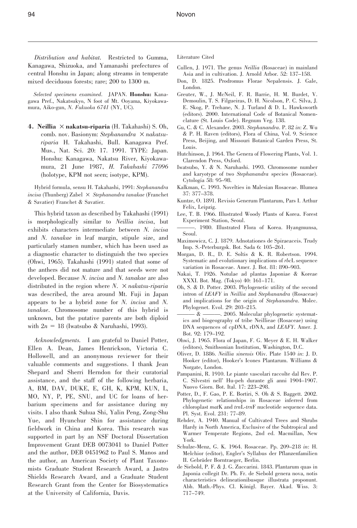94 Novon

Distribution and habitat. Restricted to Gumma, Kanagawa, Shizuoka, and Yamanashi prefectures of central Honshu in Japan; along streams in temperate mixed deciduous forests; rare; 200 to 1300 m.

Selected specimens examined. JAPAN. Honshu: Kanagawa Pref., Nakatsukyo, N foot of Mt. Ooyama, Kiyokawamura, Aiko-gun, N. Fukuoka 6741 (NY, UC).

4. Neillia  $\times$  nakatsu-riparia (H. Takahashi) S. Oh, comb. nov. Basionym: Stephanandra  $\times$  nakatsuriparia H. Takahashi, Bull. Kanagawa Pref. Mus., Nat. Sci. 20: 17. 1991. TYPE: Japan. Honshu: Kanagawa, Nakatsu River, Kiyokawamura, 21 June 1987, H. Takahashi 77096 (holotype, KPM not seen; isotype, KPM).

Hybrid formula, sensu H. Takahashi, 1991: Stephanandra incisa (Thunberg) Zabel  $\times$  Stephanandra tanakae (Franchet & Savatier) Franchet & Savatier.

This hybrid taxon as described by Takahashi (1991) is morphologically similar to Neillia incisa, but exhibits characters intermediate between N. incisa and N. tanakae in leaf margin, stipule size, and particularly stamen number, which has been used as a diagnostic character to distinguish the two species (Ohwi, 1965). Takahashi (1991) stated that some of the anthers did not mature and that seeds were not developed. Because N. incisa and N. tanakae are also distributed in the region where  $N$ .  $\times$  nakatsu-riparia was described, the area around Mt. Fuji in Japan appears to be a hybrid zone for N. incisa and N. tanakae. Chromosome number of this hybrid is unknown, but the putative parents are both diploid with  $2n = 18$  (Iwatsubo & Naruhashi, 1993).

Acknowledgments. I am grateful to Daniel Potter, Ellen A. Dean, James Henrickson, Victoria C. Hollowell, and an anonymous reviewer for their valuable comments and suggestions. I thank Jean Shepard and Sherri Herndon for their curatorial assistance, and the staff of the following herbaria, A, BM, DAV, DUKE, E, GH, K, KPM, KUN, L, MO, NY, P, PE, SNU, and UC for loans of herbarium specimens and for assistance during my visits. I also thank Suhua Shi, Yalin Peng, Zong-Shu Yue, and Hyunchur Shin for assistance during fieldwork in China and Korea. This research was supported in part by an NSF Doctoral Dissertation Improvement Grant DEB 0073041 to Daniel Potter and the author, DEB 0451962 to Paul S. Manos and the author, an American Society of Plant Taxonomists Graduate Student Research Award, a Jastro Shields Research Award, and a Graduate Student Research Grant from the Center for Biosystematics at the University of California, Davis.

Literature Cited

- Cullen, J. 1971. The genus Neillia (Rosaceae) in mainland Asia and in cultivation. J. Arnold Arbor. 52: 137–158.
- Don, D. 1825. Prodromus Florae Nepalensis. J. Gale, London.
- Greuter, W., J. McNeil, F. R. Barrie, H. M. Burdet, V. Demoulin, T. S. Filgueiras, D. H. Nicolson, P. C. Silva, J. E. Skog, P. Trehane, N. J. Turland & D. L. Hawksworth (editors). 2000. International Code of Botanical Nomenclature (St. Louis Code). Regnum Veg. 138.
- Gu, C. & C. Alexander. 2003. Stephanandra. P. 82 in: Z. Wu & P. H. Raven (editors), Flora of China, Vol. 9. Science Press, Beijing, and Missouri Botanical Garden Press, St. Louis.
- Hutchinson, J. 1964. The Genera of Flowering Plants, Vol. 1. Clarendon Press, Oxford.
- Iwatsubo, Y. & N. Naruhashi. 1993. Chromosome number and karyotype of two Stephanandra species (Rosaceae). Cytologia 58: 95–98.
- Kalkman, C. 1993. Novelties in Malesian Rosaceae. Blumea 37: 377–378.
- Kuntze, O. 1891. Revisio Generum Plantarum, Pars I. Arthur Felix, Leipzig.
- Lee, T. B. 1966. Illustrated Woody Plants of Korea. Forest Experiment Station, Seoul.
- ———. 1980. Illustrated Flora of Korea. Hyangmunsa, Seoul.
- Maximowicz, C. J. 1879. Adnotationes de Spiraeaceis. Trudy Imp. S.-Peterburgsk. Bot. Sada 6: 105–261.
- Morgan, D. R., D. E. Soltis & K. R. Robertson. 1994. Systematic and evolutionary implications of rbcL sequence variation in Rosaceae. Amer. J. Bot. 81: 890–903.
- Nakai, T. 1926. Notulae ad plantas Japoniae & Koreae XXXI. Bot. Mag. (Tokyo) 40: 161–171.
- Oh, S. & D. Potter. 2003. Phylogenetic utility of the second intron of LEAFY in Neillia and Stephanandra (Rosaceae) and implications for the origin of Stephanandra. Molec. Phylogenet. Evol. 29: 203–215.
- ——— & ———. 2005. Molecular phylogenetic systematics and biogeography of tribe Neillieae (Rosaceae) using DNA sequences of cpDNA, rDNA, and LEAFY. Amer. J. Bot. 92: 179–192.
- Ohwi, J. 1965. Flora of Japan, F. G. Meyer & E. H. Walker (editors), Smithsonian Institution, Washington, D.C.
- Oliver, D. 1886. Neillia sinensis Oliv. Plate 1540 in: J. D. Hooker (editor), Hooker's Icones Plantarum. Williams & Norgate, London.
- Pampanini, R. 1910. Le piante vascolari raccolte dal Rev. P. C. Silvestri nell' Hu-peh durante gli anni 1904–1907. Nuovo Giorn. Bot. Ital. 17: 223–298.
- Potter, D., F. Gao, P. E. Bortiri, S. Oh & S. Baggett. 2002. Phylogenetic relationships in Rosaceae inferred from chloroplast matK and trnL-trnF nucleotide sequence data. Pl. Syst. Evol. 231: 77–89.
- Rehder, A. 1940. Manual of Cultivated Trees and Shrubs Hardy in North America, Exclusive of the Subtropical and Warmer Temperate Regions, 2nd ed. Macmillan, New York.
- Schulze-Menz, G. K. 1964. Rosaceae. Pp. 209–218 in: H. Melchior (editor), Engler's Syllabus der Pflanzenfamilien II. Gebrüder Borntraeger, Berlin.
- de Siebold, P. F. & J. G. Zuccarini. 1843. Plantarum quas in Japonia collegit Dr. Ph. Fr. de Siebold genera nova, notis characteristics delineationibusque illustrata proponunt. Abh. Math.-Phys. Cl. Königl. Bayer. Akad. Wiss. 3: 717–749.